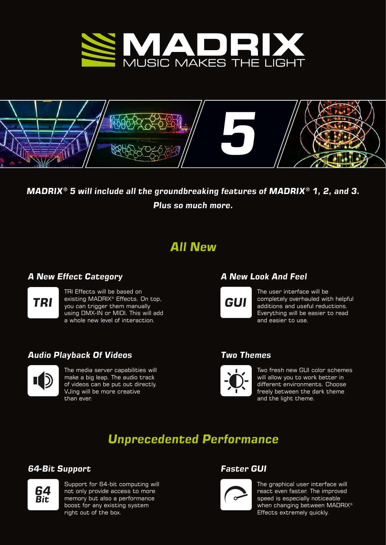



## *MADRIX*<sup>®</sup> 5 will include all the groundbreaking features of MADRIX<sup>®</sup> 1, 2, and 3. *Plus so much more.*

## *All New*

### *A New Effect Category*



TRI Effects will be based on existing MADRIX® Effects. On top, you can trigger them manually using DMX-IN or MIDI. This will add a whole new level of interaction.

### *Audio Playback Of Videos*



The media server capabilities will make a big leap. The audio track of videos can be put out directly. VJing will be more creative than ever.

## *A New Look And Feel*



The user interface will be completely overhauled with helpful additions and useful reductions. Everything will be easier to read and easier to use.

### *Two Themes*



Two fresh new GUI color schemes will allow you to work better in different environments. Choose freely between the dark theme and the light theme.

# *Unprecedented Performance*

### *64-Bit Support Faster GUI*



Support for 64-bit computing will not only provide access to more memory but also a performance boost for any existing system right out of the box.



The graphical user interface will react even faster. The improved speed is especially noticeable when changing between MADRIX<sup>®</sup> Effects extremely quickly.